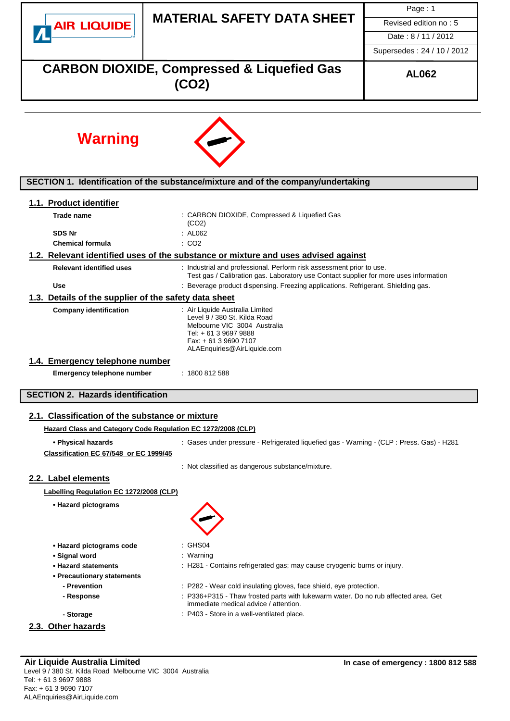|                                                              |                                                                                                                                                                                  | Page: 1                    |  |  |  |  |
|--------------------------------------------------------------|----------------------------------------------------------------------------------------------------------------------------------------------------------------------------------|----------------------------|--|--|--|--|
| <b>AIR LIQUIDE</b>                                           | <b>MATERIAL SAFETY DATA SHEET</b>                                                                                                                                                | Revised edition no: 5      |  |  |  |  |
|                                                              |                                                                                                                                                                                  | Date: 8/11/2012            |  |  |  |  |
|                                                              |                                                                                                                                                                                  | Supersedes: 24 / 10 / 2012 |  |  |  |  |
|                                                              | <b>CARBON DIOXIDE, Compressed &amp; Liquefied Gas</b><br>(CO2)                                                                                                                   | <b>AL062</b>               |  |  |  |  |
|                                                              |                                                                                                                                                                                  |                            |  |  |  |  |
| <b>Warning</b>                                               |                                                                                                                                                                                  |                            |  |  |  |  |
|                                                              | SECTION 1. Identification of the substance/mixture and of the company/undertaking                                                                                                |                            |  |  |  |  |
| 1.1. Product identifier                                      |                                                                                                                                                                                  |                            |  |  |  |  |
| Trade name                                                   | : CARBON DIOXIDE, Compressed & Liquefied Gas                                                                                                                                     |                            |  |  |  |  |
| <b>SDS Nr</b>                                                | (CO2)<br>: AL062                                                                                                                                                                 |                            |  |  |  |  |
| <b>Chemical formula</b>                                      | : CO2                                                                                                                                                                            |                            |  |  |  |  |
|                                                              | 1.2. Relevant identified uses of the substance or mixture and uses advised against                                                                                               |                            |  |  |  |  |
| <b>Relevant identified uses</b>                              | : Industrial and professional. Perform risk assessment prior to use.<br>Test gas / Calibration gas. Laboratory use Contact supplier for more uses information                    |                            |  |  |  |  |
| <b>Use</b>                                                   | : Beverage product dispensing. Freezing applications. Refrigerant. Shielding gas.                                                                                                |                            |  |  |  |  |
| 1.3. Details of the supplier of the safety data sheet        |                                                                                                                                                                                  |                            |  |  |  |  |
| <b>Company identification</b>                                | : Air Liquide Australia Limited<br>Level 9 / 380 St. Kilda Road<br>Melbourne VIC 3004 Australia<br>Tel: + 61 3 9697 9888<br>Fax: + 61 3 9690 7107<br>ALAEnquiries@AirLiquide.com |                            |  |  |  |  |
| 1.4. Emergency telephone number                              |                                                                                                                                                                                  |                            |  |  |  |  |
| Emergency telephone number                                   | : 1800812588                                                                                                                                                                     |                            |  |  |  |  |
| <b>SECTION 2. Hazards identification</b>                     |                                                                                                                                                                                  |                            |  |  |  |  |
| 2.1. Classification of the substance or mixture              |                                                                                                                                                                                  |                            |  |  |  |  |
| Hazard Class and Category Code Regulation EC 1272/2008 (CLP) |                                                                                                                                                                                  |                            |  |  |  |  |
| • Physical hazards                                           | : Gases under pressure - Refrigerated liquefied gas - Warning - (CLP : Press. Gas) - H281                                                                                        |                            |  |  |  |  |
| Classification EC 67/548 or EC 1999/45                       |                                                                                                                                                                                  |                            |  |  |  |  |
|                                                              | : Not classified as dangerous substance/mixture.                                                                                                                                 |                            |  |  |  |  |
| 2.2. Label elements                                          |                                                                                                                                                                                  |                            |  |  |  |  |
| Labelling Regulation EC 1272/2008 (CLP)                      |                                                                                                                                                                                  |                            |  |  |  |  |
| • Hazard pictograms                                          |                                                                                                                                                                                  |                            |  |  |  |  |
| • Hazard pictograms code                                     | : GHS04                                                                                                                                                                          |                            |  |  |  |  |
| • Signal word<br>• Hazard statements                         | : Warning                                                                                                                                                                        |                            |  |  |  |  |
| • Precautionary statements                                   | : H281 - Contains refrigerated gas; may cause cryogenic burns or injury.                                                                                                         |                            |  |  |  |  |
| - Prevention                                                 | : P282 - Wear cold insulating gloves, face shield, eye protection.                                                                                                               |                            |  |  |  |  |
| - Response                                                   | : P336+P315 - Thaw frosted parts with lukewarm water. Do no rub affected area. Get<br>immediate medical advice / attention.                                                      |                            |  |  |  |  |
| - Storage                                                    | : P403 - Store in a well-ventilated place.                                                                                                                                       |                            |  |  |  |  |
| 2.3. Other hazards                                           |                                                                                                                                                                                  |                            |  |  |  |  |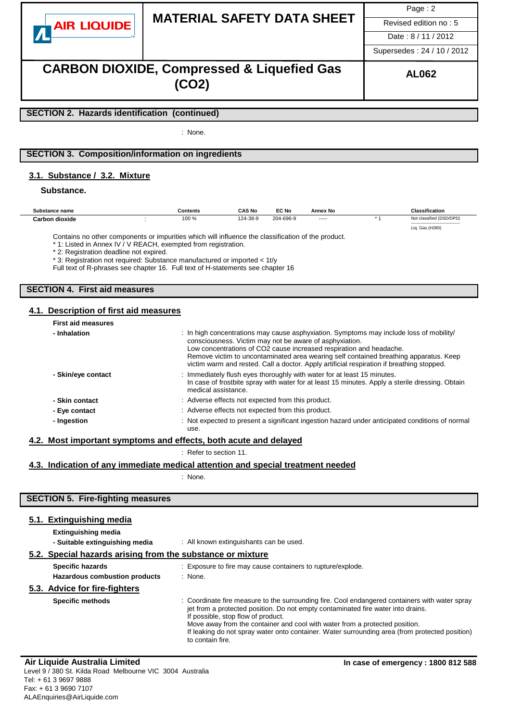|                    |                                   | Page: $2$             |
|--------------------|-----------------------------------|-----------------------|
| <b>AIR LIQUIDE</b> | <b>MATERIAL SAFETY DATA SHEET</b> | Revised edition no: 5 |
|                    |                                   | Date: 8/11/2012       |

# **CARBON DIOXIDE, Compressed & Liquefied Gas (CO2)**

Supersedes : 24 / 10 / 2012

### **SECTION 2. Hazards identification (continued)**

: None.

### **SECTION 3. Composition/information on ingredients**

### **3.1. Substance / 3.2. Mixture**

**Substance.**

| Substance name | Contents   | <b>CAS No</b> | EC No     | Annex No | <b>Classification</b>                                  |  |
|----------------|------------|---------------|-----------|----------|--------------------------------------------------------|--|
| Carbon dioxide | 100 %<br>. | 124-38-9      | 204-696-9 | -----    | Not classified (DSD/DPD)                               |  |
|                |            |               |           |          | -----------------------------------<br>Liq. Gas (H280) |  |
|                |            |               |           |          |                                                        |  |

Contains no other components or impurities which will influence the classification of the product.

\* 1: Listed in Annex IV / V REACH, exempted from registration.

\* 2: Registration deadline not expired.

\* 3: Registration not required: Substance manufactured or imported < 1t/y

Full text of R-phrases see chapter 16. Full text of H-statements see chapter 16

## **SECTION 4. First aid measures**

#### **4.1. Description of first aid measures**

| : In high concentrations may cause asphyxiation. Symptoms may include loss of mobility/<br>consciousness. Victim may not be aware of asphyxiation.<br>Low concentrations of CO2 cause increased respiration and headache.<br>Remove victim to uncontaminated area wearing self contained breathing apparatus. Keep<br>victim warm and rested. Call a doctor. Apply artificial respiration if breathing stopped. |
|-----------------------------------------------------------------------------------------------------------------------------------------------------------------------------------------------------------------------------------------------------------------------------------------------------------------------------------------------------------------------------------------------------------------|
| : Immediately flush eyes thoroughly with water for at least 15 minutes.<br>In case of frostbite spray with water for at least 15 minutes. Apply a sterile dressing. Obtain<br>medical assistance.                                                                                                                                                                                                               |
| : Adverse effects not expected from this product.                                                                                                                                                                                                                                                                                                                                                               |
| : Adverse effects not expected from this product.                                                                                                                                                                                                                                                                                                                                                               |
| : Not expected to present a significant ingestion hazard under anticipated conditions of normal<br>use.                                                                                                                                                                                                                                                                                                         |
|                                                                                                                                                                                                                                                                                                                                                                                                                 |

#### **4.2. Most important symptoms and effects, both acute and delayed**

: Refer to section 11.

#### **4.3. Indication of any immediate medical attention and special treatment needed**

: None.

# **SECTION 5. Fire-fighting measures**

### **5.1. Extinguishing media**

| <b>Extinguishing media</b>                                 |                                                                                                                                                                                                                                                                                                         |
|------------------------------------------------------------|---------------------------------------------------------------------------------------------------------------------------------------------------------------------------------------------------------------------------------------------------------------------------------------------------------|
| - Suitable extinguishing media                             | : All known extinguishants can be used.                                                                                                                                                                                                                                                                 |
| 5.2. Special hazards arising from the substance or mixture |                                                                                                                                                                                                                                                                                                         |
| <b>Specific hazards</b>                                    | : Exposure to fire may cause containers to rupture/explode.                                                                                                                                                                                                                                             |
| Hazardous combustion products                              | : None.                                                                                                                                                                                                                                                                                                 |
| 5.3. Advice for fire-fighters                              |                                                                                                                                                                                                                                                                                                         |
| <b>Specific methods</b>                                    | : Coordinate fire measure to the surrounding fire. Cool endangered containers with water spray<br>jet from a protected position. Do not empty contaminated fire water into drains.<br>If possible, stop flow of product.<br>Move away from the container and cool with water from a protected position. |

If leaking do not spray water onto container. Water surrounding area (from protected position) to contain fire.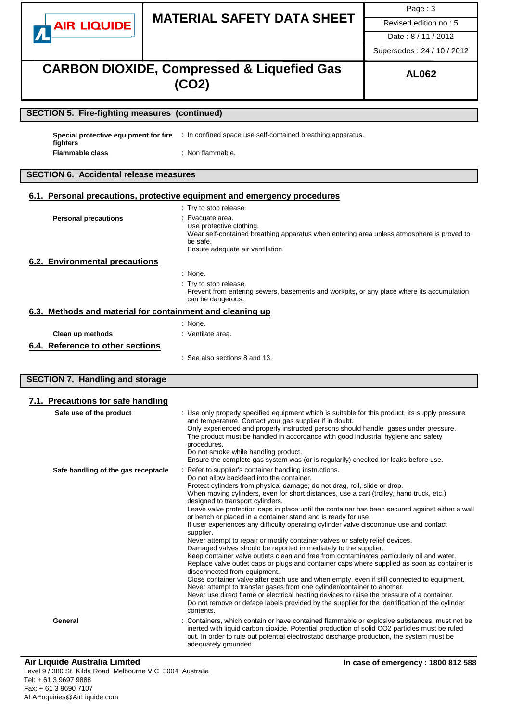|                                                               |                                                                                                                                                                                                                                                                                                                                                                                                                                                                                                                                                                                                                                                                                                                                                                                        | Page: 3                    |  |  |  |
|---------------------------------------------------------------|----------------------------------------------------------------------------------------------------------------------------------------------------------------------------------------------------------------------------------------------------------------------------------------------------------------------------------------------------------------------------------------------------------------------------------------------------------------------------------------------------------------------------------------------------------------------------------------------------------------------------------------------------------------------------------------------------------------------------------------------------------------------------------------|----------------------------|--|--|--|
| <b>AIR LIQUIDE</b>                                            | <b>MATERIAL SAFETY DATA SHEET</b>                                                                                                                                                                                                                                                                                                                                                                                                                                                                                                                                                                                                                                                                                                                                                      | Revised edition no: 5      |  |  |  |
|                                                               |                                                                                                                                                                                                                                                                                                                                                                                                                                                                                                                                                                                                                                                                                                                                                                                        | Date: 8/11/2012            |  |  |  |
|                                                               |                                                                                                                                                                                                                                                                                                                                                                                                                                                                                                                                                                                                                                                                                                                                                                                        | Supersedes: 24 / 10 / 2012 |  |  |  |
|                                                               | <b>CARBON DIOXIDE, Compressed &amp; Liquefied Gas</b><br><b>AL062</b><br>(CO2)                                                                                                                                                                                                                                                                                                                                                                                                                                                                                                                                                                                                                                                                                                         |                            |  |  |  |
| <b>SECTION 5. Fire-fighting measures (continued)</b>          |                                                                                                                                                                                                                                                                                                                                                                                                                                                                                                                                                                                                                                                                                                                                                                                        |                            |  |  |  |
|                                                               |                                                                                                                                                                                                                                                                                                                                                                                                                                                                                                                                                                                                                                                                                                                                                                                        |                            |  |  |  |
| Special protective equipment for fire<br>fighters             | : In confined space use self-contained breathing apparatus.                                                                                                                                                                                                                                                                                                                                                                                                                                                                                                                                                                                                                                                                                                                            |                            |  |  |  |
| <b>Flammable class</b>                                        | : Non flammable.                                                                                                                                                                                                                                                                                                                                                                                                                                                                                                                                                                                                                                                                                                                                                                       |                            |  |  |  |
| <b>SECTION 6. Accidental release measures</b>                 |                                                                                                                                                                                                                                                                                                                                                                                                                                                                                                                                                                                                                                                                                                                                                                                        |                            |  |  |  |
|                                                               | 6.1. Personal precautions, protective equipment and emergency procedures                                                                                                                                                                                                                                                                                                                                                                                                                                                                                                                                                                                                                                                                                                               |                            |  |  |  |
|                                                               | : Try to stop release.                                                                                                                                                                                                                                                                                                                                                                                                                                                                                                                                                                                                                                                                                                                                                                 |                            |  |  |  |
| <b>Personal precautions</b>                                   | : Evacuate area.<br>Use protective clothing.<br>Wear self-contained breathing apparatus when entering area unless atmosphere is proved to<br>be safe.<br>Ensure adequate air ventilation.                                                                                                                                                                                                                                                                                                                                                                                                                                                                                                                                                                                              |                            |  |  |  |
| 6.2. Environmental precautions                                |                                                                                                                                                                                                                                                                                                                                                                                                                                                                                                                                                                                                                                                                                                                                                                                        |                            |  |  |  |
|                                                               | $:$ None.<br>: Try to stop release.<br>Prevent from entering sewers, basements and workpits, or any place where its accumulation<br>can be dangerous.                                                                                                                                                                                                                                                                                                                                                                                                                                                                                                                                                                                                                                  |                            |  |  |  |
|                                                               | 6.3. Methods and material for containment and cleaning up                                                                                                                                                                                                                                                                                                                                                                                                                                                                                                                                                                                                                                                                                                                              |                            |  |  |  |
| Clean up methods                                              | : None.<br>: Ventilate area.                                                                                                                                                                                                                                                                                                                                                                                                                                                                                                                                                                                                                                                                                                                                                           |                            |  |  |  |
| 6.4. Reference to other sections                              |                                                                                                                                                                                                                                                                                                                                                                                                                                                                                                                                                                                                                                                                                                                                                                                        |                            |  |  |  |
|                                                               | : See also sections 8 and 13.                                                                                                                                                                                                                                                                                                                                                                                                                                                                                                                                                                                                                                                                                                                                                          |                            |  |  |  |
| <b>SECTION 7. Handling and storage</b>                        |                                                                                                                                                                                                                                                                                                                                                                                                                                                                                                                                                                                                                                                                                                                                                                                        |                            |  |  |  |
|                                                               |                                                                                                                                                                                                                                                                                                                                                                                                                                                                                                                                                                                                                                                                                                                                                                                        |                            |  |  |  |
| 7.1. Precautions for safe handling<br>Safe use of the product | : Use only properly specified equipment which is suitable for this product, its supply pressure                                                                                                                                                                                                                                                                                                                                                                                                                                                                                                                                                                                                                                                                                        |                            |  |  |  |
|                                                               | and temperature. Contact your gas supplier if in doubt.<br>Only experienced and properly instructed persons should handle gases under pressure.<br>The product must be handled in accordance with good industrial hygiene and safety<br>procedures.<br>Do not smoke while handling product.<br>Ensure the complete gas system was (or is regularily) checked for leaks before use.                                                                                                                                                                                                                                                                                                                                                                                                     |                            |  |  |  |
| Safe handling of the gas receptacle                           | : Refer to supplier's container handling instructions.<br>Do not allow backfeed into the container.<br>Protect cylinders from physical damage; do not drag, roll, slide or drop.                                                                                                                                                                                                                                                                                                                                                                                                                                                                                                                                                                                                       |                            |  |  |  |
|                                                               | When moving cylinders, even for short distances, use a cart (trolley, hand truck, etc.)<br>designed to transport cylinders.<br>Leave valve protection caps in place until the container has been secured against either a wall<br>or bench or placed in a container stand and is ready for use.<br>If user experiences any difficulty operating cylinder valve discontinue use and contact<br>supplier.<br>Never attempt to repair or modify container valves or safety relief devices.<br>Damaged valves should be reported immediately to the supplier.<br>Keep container valve outlets clean and free from contaminates particularly oil and water.<br>Replace valve outlet caps or plugs and container caps where supplied as soon as container is<br>disconnected from equipment. |                            |  |  |  |
| General                                                       | Close container valve after each use and when empty, even if still connected to equipment.<br>Never attempt to transfer gases from one cylinder/container to another.<br>Never use direct flame or electrical heating devices to raise the pressure of a container.<br>Do not remove or deface labels provided by the supplier for the identification of the cylinder<br>contents.<br>Containers, which contain or have contained flammable or explosive substances, must not be<br>inerted with liquid carbon dioxide. Potential production of solid CO2 particles must be ruled<br>out. In order to rule out potential electrostatic discharge production, the system must be<br>adequately grounded.                                                                                |                            |  |  |  |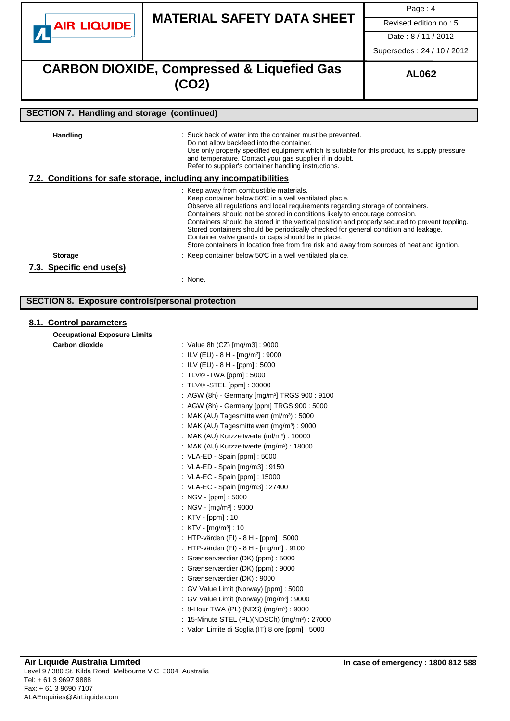|                                                         |                                                                                                                                                                                                                                                                                                                                                                                                                                                                                                                                                                                                                                                                                      | Page: 4                    |  |  |  |
|---------------------------------------------------------|--------------------------------------------------------------------------------------------------------------------------------------------------------------------------------------------------------------------------------------------------------------------------------------------------------------------------------------------------------------------------------------------------------------------------------------------------------------------------------------------------------------------------------------------------------------------------------------------------------------------------------------------------------------------------------------|----------------------------|--|--|--|
| <b>AIR LIQUIDE</b>                                      | <b>MATERIAL SAFETY DATA SHEET</b>                                                                                                                                                                                                                                                                                                                                                                                                                                                                                                                                                                                                                                                    | Revised edition no: 5      |  |  |  |
|                                                         |                                                                                                                                                                                                                                                                                                                                                                                                                                                                                                                                                                                                                                                                                      | Date: 8/11/2012            |  |  |  |
|                                                         |                                                                                                                                                                                                                                                                                                                                                                                                                                                                                                                                                                                                                                                                                      | Supersedes: 24 / 10 / 2012 |  |  |  |
|                                                         | <b>CARBON DIOXIDE, Compressed &amp; Liquefied Gas</b><br><b>AL062</b><br>(CO2)                                                                                                                                                                                                                                                                                                                                                                                                                                                                                                                                                                                                       |                            |  |  |  |
| <b>SECTION 7. Handling and storage (continued)</b>      |                                                                                                                                                                                                                                                                                                                                                                                                                                                                                                                                                                                                                                                                                      |                            |  |  |  |
| <b>Handling</b>                                         | Suck back of water into the container must be prevented.<br>Do not allow backfeed into the container.<br>Use only properly specified equipment which is suitable for this product, its supply pressure<br>and temperature. Contact your gas supplier if in doubt.<br>Refer to supplier's container handling instructions.                                                                                                                                                                                                                                                                                                                                                            |                            |  |  |  |
|                                                         | 7.2. Conditions for safe storage, including any incompatibilities                                                                                                                                                                                                                                                                                                                                                                                                                                                                                                                                                                                                                    |                            |  |  |  |
| <b>Storage</b>                                          | : Keep away from combustible materials.<br>Keep container below 50℃ in a well ventilated plac e.<br>Observe all regulations and local requirements regarding storage of containers.<br>Containers should not be stored in conditions likely to encourage corrosion.<br>Containers should be stored in the vertical position and properly secured to prevent toppling.<br>Stored containers should be periodically checked for general condition and leakage.<br>Container valve quards or caps should be in place.<br>Store containers in location free from fire risk and away from sources of heat and ignition.<br>: Keep container below $50\degree$ in a well ventilated place. |                            |  |  |  |
| 7.3. Specific end use(s)                                |                                                                                                                                                                                                                                                                                                                                                                                                                                                                                                                                                                                                                                                                                      |                            |  |  |  |
|                                                         | : None.                                                                                                                                                                                                                                                                                                                                                                                                                                                                                                                                                                                                                                                                              |                            |  |  |  |
|                                                         |                                                                                                                                                                                                                                                                                                                                                                                                                                                                                                                                                                                                                                                                                      |                            |  |  |  |
| <b>SECTION 8. Exposure controls/personal protection</b> |                                                                                                                                                                                                                                                                                                                                                                                                                                                                                                                                                                                                                                                                                      |                            |  |  |  |
| 8.1. Control parameters                                 |                                                                                                                                                                                                                                                                                                                                                                                                                                                                                                                                                                                                                                                                                      |                            |  |  |  |
| <b>Occupational Exposure Limits</b>                     |                                                                                                                                                                                                                                                                                                                                                                                                                                                                                                                                                                                                                                                                                      |                            |  |  |  |
| <b>Carbon dioxide</b>                                   | : Value 8h (CZ) [mg/m3] : 9000<br>: ILV (EU) - 8 H - [mg/m <sup>3</sup> ] : 9000                                                                                                                                                                                                                                                                                                                                                                                                                                                                                                                                                                                                     |                            |  |  |  |
|                                                         | : ILV (EU) - 8 H - [ppm] : 5000                                                                                                                                                                                                                                                                                                                                                                                                                                                                                                                                                                                                                                                      |                            |  |  |  |
|                                                         | : TLV© - TWA [ppm] : 5000                                                                                                                                                                                                                                                                                                                                                                                                                                                                                                                                                                                                                                                            |                            |  |  |  |
|                                                         | : TLV© - STEL [ppm] : 30000                                                                                                                                                                                                                                                                                                                                                                                                                                                                                                                                                                                                                                                          |                            |  |  |  |
|                                                         | : AGW (8h) - Germany [mg/m <sup>3</sup> ] TRGS 900 : 9100                                                                                                                                                                                                                                                                                                                                                                                                                                                                                                                                                                                                                            |                            |  |  |  |
|                                                         | : AGW (8h) - Germany [ppm] TRGS 900 : 5000<br>: MAK (AU) Tagesmittelwert (ml/m <sup>3</sup> ) : 5000                                                                                                                                                                                                                                                                                                                                                                                                                                                                                                                                                                                 |                            |  |  |  |
|                                                         | : MAK (AU) Tagesmittelwert (mg/m <sup>3</sup> ) : 9000                                                                                                                                                                                                                                                                                                                                                                                                                                                                                                                                                                                                                               |                            |  |  |  |
|                                                         | : MAK (AU) Kurzzeitwerte (ml/m <sup>3</sup> ) : 10000                                                                                                                                                                                                                                                                                                                                                                                                                                                                                                                                                                                                                                |                            |  |  |  |
|                                                         | : MAK (AU) Kurzzeitwerte $(mg/m3)$ : 18000                                                                                                                                                                                                                                                                                                                                                                                                                                                                                                                                                                                                                                           |                            |  |  |  |
|                                                         | : VLA-ED - Spain [ppm] : 5000<br>: VLA-ED - Spain [mg/m3] : 9150                                                                                                                                                                                                                                                                                                                                                                                                                                                                                                                                                                                                                     |                            |  |  |  |
|                                                         | : VLA-EC - Spain [ppm] : 15000                                                                                                                                                                                                                                                                                                                                                                                                                                                                                                                                                                                                                                                       |                            |  |  |  |
|                                                         | : VLA-EC - Spain [mg/m3] : 27400                                                                                                                                                                                                                                                                                                                                                                                                                                                                                                                                                                                                                                                     |                            |  |  |  |
|                                                         | : NGV - [ppm] : 5000                                                                                                                                                                                                                                                                                                                                                                                                                                                                                                                                                                                                                                                                 |                            |  |  |  |
|                                                         | : NGV - $[mg/m^3]$ : 9000<br>: KTV [ppm] : 10                                                                                                                                                                                                                                                                                                                                                                                                                                                                                                                                                                                                                                        |                            |  |  |  |
|                                                         | : $KTV - [mg/m3] : 10$                                                                                                                                                                                                                                                                                                                                                                                                                                                                                                                                                                                                                                                               |                            |  |  |  |
|                                                         | : HTP-värden (FI) - 8 H - [ppm] : 5000                                                                                                                                                                                                                                                                                                                                                                                                                                                                                                                                                                                                                                               |                            |  |  |  |
|                                                         | : HTP-värden (FI) - 8 H - [mg/m <sup>3</sup> ] : 9100                                                                                                                                                                                                                                                                                                                                                                                                                                                                                                                                                                                                                                |                            |  |  |  |
|                                                         | : Grænserværdier (DK) (ppm) : 5000<br>: Grænserværdier (DK) (ppm) : 9000                                                                                                                                                                                                                                                                                                                                                                                                                                                                                                                                                                                                             |                            |  |  |  |
|                                                         | : Grænserværdier (DK) : 9000                                                                                                                                                                                                                                                                                                                                                                                                                                                                                                                                                                                                                                                         |                            |  |  |  |
|                                                         | : GV Value Limit (Norway) [ppm] : 5000                                                                                                                                                                                                                                                                                                                                                                                                                                                                                                                                                                                                                                               |                            |  |  |  |
|                                                         | : GV Value Limit (Norway) [mg/m <sup>3</sup> ] : 9000                                                                                                                                                                                                                                                                                                                                                                                                                                                                                                                                                                                                                                |                            |  |  |  |
|                                                         | : 8-Hour TWA (PL) (NDS) (mg/m <sup>3</sup> ) : 9000                                                                                                                                                                                                                                                                                                                                                                                                                                                                                                                                                                                                                                  |                            |  |  |  |
|                                                         | : 15-Minute STEL (PL)(NDSCh) (mg/m <sup>3</sup> ) : 27000<br>: Valori Limite di Soglia (IT) 8 ore [ppm] : 5000                                                                                                                                                                                                                                                                                                                                                                                                                                                                                                                                                                       |                            |  |  |  |
|                                                         |                                                                                                                                                                                                                                                                                                                                                                                                                                                                                                                                                                                                                                                                                      |                            |  |  |  |
|                                                         |                                                                                                                                                                                                                                                                                                                                                                                                                                                                                                                                                                                                                                                                                      |                            |  |  |  |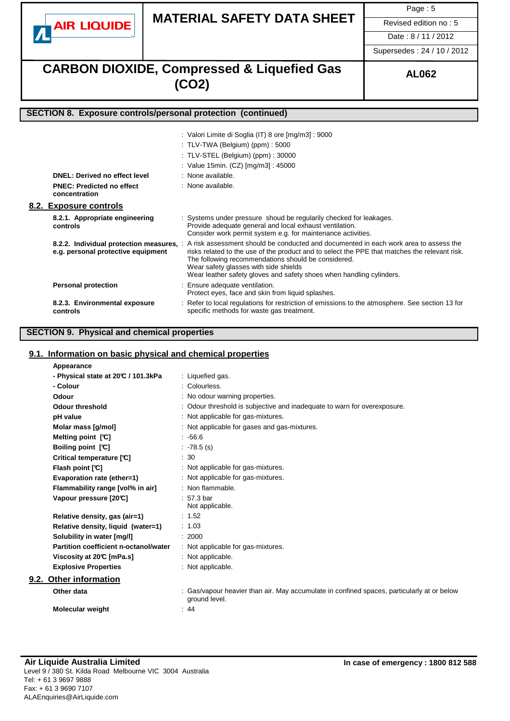

# **MATERIAL SAFETY DATA SHEET** Revised edition no : 5

Page : 5

Date : 8 / 11 / 2012

Supersedes : 24 / 10 / 2012

# **CARBON DIOXIDE, Compressed & Liquefied Gas AL062 (CO2)**

# **SECTION 8. Exposure controls/personal protection (continued)**

|                                                   | : Valori Limite di Soglia (IT) 8 ore [mg/m3] : 9000<br>: TLV-TWA (Belgium) (ppm) : $5000$<br>: TLV-STEL (Belgium) (ppm) : 30000<br>: Value 15min. (CZ) [mg/m3] : 45000                                                                                                                                                                                                                                 |
|---------------------------------------------------|--------------------------------------------------------------------------------------------------------------------------------------------------------------------------------------------------------------------------------------------------------------------------------------------------------------------------------------------------------------------------------------------------------|
| <b>DNEL: Derived no effect level</b>              | : None available.                                                                                                                                                                                                                                                                                                                                                                                      |
| <b>PNEC: Predicted no effect</b><br>concentration | : None available.                                                                                                                                                                                                                                                                                                                                                                                      |
| 8.2. Exposure controls                            |                                                                                                                                                                                                                                                                                                                                                                                                        |
| 8.2.1. Appropriate engineering<br>controls        | : Systems under pressure shoud be regularily checked for leakages.<br>Provide adequate general and local exhaust ventilation.<br>Consider work permit system e.g. for maintenance activities.                                                                                                                                                                                                          |
| e.g. personal protective equipment                | 8.2.2. Individual protection measures, : A risk assessment should be conducted and documented in each work area to assess the<br>risks related to the use of the product and to select the PPE that matches the relevant risk.<br>The following recommendations should be considered.<br>Wear safety glasses with side shields<br>Wear leather safety gloves and safety shoes when handling cylinders. |
| <b>Personal protection</b>                        | : Ensure adequate ventilation.<br>Protect eyes, face and skin from liquid splashes.                                                                                                                                                                                                                                                                                                                    |
| 8.2.3. Environmental exposure<br>controls         | : Refer to local regulations for restriction of emissions to the atmosphere. See section 13 for<br>specific methods for waste gas treatment.                                                                                                                                                                                                                                                           |

# **SECTION 9. Physical and chemical properties**

### **9.1. Information on basic physical and chemical properties**

| Appearance                            |                                                                                                             |
|---------------------------------------|-------------------------------------------------------------------------------------------------------------|
| - Physical state at 20°C / 101.3kPa   | : Liquefied gas.                                                                                            |
| - Colour                              | : Colourless.                                                                                               |
| Odour                                 | : No odour warning properties.                                                                              |
| Odour threshold                       | : Odour threshold is subjective and inadequate to warn for overexposure.                                    |
| pH value                              | : Not applicable for gas-mixtures.                                                                          |
| Molar mass [g/mol]                    | : Not applicable for gases and gas-mixtures.                                                                |
| Melting point $[\mathfrak{C}]$        | .5666                                                                                                       |
| Boiling point [C]                     | $: -78.5$ (s)                                                                                               |
| Critical temperature [C]              | $\therefore$ 30                                                                                             |
| Flash point [°C]                      | : Not applicable for gas-mixtures.                                                                          |
| Evaporation rate (ether=1)            | : Not applicable for gas-mixtures.                                                                          |
| Flammability range [vol% in air]      | : Non flammable.                                                                                            |
| Vapour pressure [20°C]                | $: 57.3 \text{ bar}$<br>Not applicable.                                                                     |
| Relative density, gas (air=1)         | : 1.52                                                                                                      |
| Relative density, liquid (water=1)    | : 1.03                                                                                                      |
| Solubility in water [mg/l]            | : 2000                                                                                                      |
| Partition coefficient n-octanol/water | : Not applicable for gas-mixtures.                                                                          |
| Viscosity at 20℃ [mPa.s]              | : Not applicable.                                                                                           |
| <b>Explosive Properties</b>           | : Not applicable.                                                                                           |
| 9.2. Other information                |                                                                                                             |
| Other data                            | : Gas/vapour heavier than air. May accumulate in confined spaces, particularly at or below<br>ground level. |
| <b>Molecular weight</b>               | : 44                                                                                                        |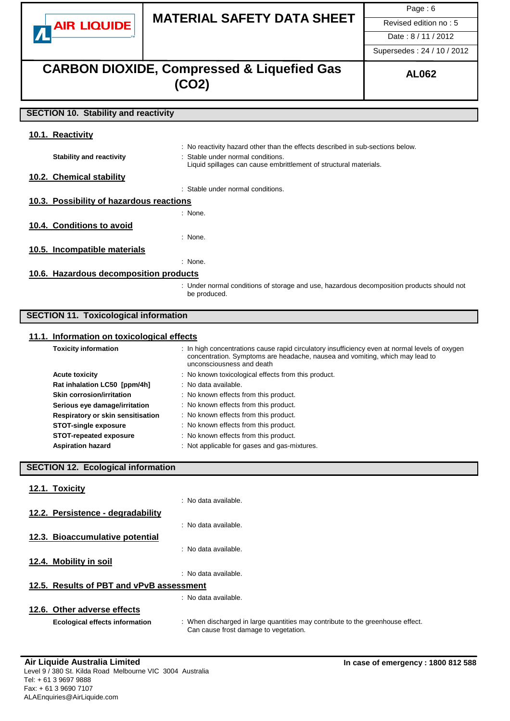

# **MATERIAL SAFETY DATA SHEET** Revised edition no : 5

Page: 6

Date : 8 / 11 / 2012

Supersedes : 24 / 10 / 2012

# **CARBON DIOXIDE, Compressed & Liquefied Gas** AL062 **(CO2)**

# **SECTION 10. Stability and reactivity**

| 10.1. Reactivity                         |                                                                                                                                                                                          |
|------------------------------------------|------------------------------------------------------------------------------------------------------------------------------------------------------------------------------------------|
| <b>Stability and reactivity</b>          | : No reactivity hazard other than the effects described in sub-sections below.<br>: Stable under normal conditions.<br>Liquid spillages can cause embrittlement of structural materials. |
| 10.2. Chemical stability                 |                                                                                                                                                                                          |
|                                          | : Stable under normal conditions.                                                                                                                                                        |
| 10.3. Possibility of hazardous reactions |                                                                                                                                                                                          |
|                                          | : None.                                                                                                                                                                                  |
| 10.4. Conditions to avoid                |                                                                                                                                                                                          |
|                                          | : None.                                                                                                                                                                                  |
| 10.5. Incompatible materials             |                                                                                                                                                                                          |
|                                          | : None.                                                                                                                                                                                  |
| 10.6. Hazardous decomposition products   |                                                                                                                                                                                          |
|                                          | : Under normal conditions of storage and use, hazardous decomposition products should not<br>be produced.                                                                                |

# **SECTION 11. Toxicological information**

### **11.1. Information on toxicological effects**

| <b>Toxicity information</b>       | : In high concentrations cause rapid circulatory insufficiency even at normal levels of oxygen<br>concentration. Symptoms are headache, nausea and vomiting, which may lead to<br>unconsciousness and death |
|-----------------------------------|-------------------------------------------------------------------------------------------------------------------------------------------------------------------------------------------------------------|
| <b>Acute toxicity</b>             | : No known toxicological effects from this product.                                                                                                                                                         |
| Rat inhalation LC50 [ppm/4h]      | : No data available.                                                                                                                                                                                        |
| <b>Skin corrosion/irritation</b>  | : No known effects from this product.                                                                                                                                                                       |
| Serious eye damage/irritation     | : No known effects from this product.                                                                                                                                                                       |
| Respiratory or skin sensitisation | : No known effects from this product.                                                                                                                                                                       |
| <b>STOT-single exposure</b>       | : No known effects from this product.                                                                                                                                                                       |
| <b>STOT-repeated exposure</b>     | : No known effects from this product.                                                                                                                                                                       |
| <b>Aspiration hazard</b>          | : Not applicable for gases and gas-mixtures.                                                                                                                                                                |

# **SECTION 12. Ecological information**

| Toxicitv |
|----------|
|          |

|                                          | : No data available.                                                                                                    |
|------------------------------------------|-------------------------------------------------------------------------------------------------------------------------|
| 12.2. Persistence - degradability        |                                                                                                                         |
|                                          | : No data available.                                                                                                    |
| 12.3. Bioaccumulative potential          |                                                                                                                         |
|                                          | : No data available.                                                                                                    |
| 12.4. Mobility in soil                   |                                                                                                                         |
|                                          | : No data available.                                                                                                    |
| 12.5. Results of PBT and vPvB assessment |                                                                                                                         |
|                                          | : No data available.                                                                                                    |
| 12.6. Other adverse effects              |                                                                                                                         |
| <b>Ecological effects information</b>    | : When discharged in large quantities may contribute to the greenhouse effect.<br>Can cause frost damage to vegetation. |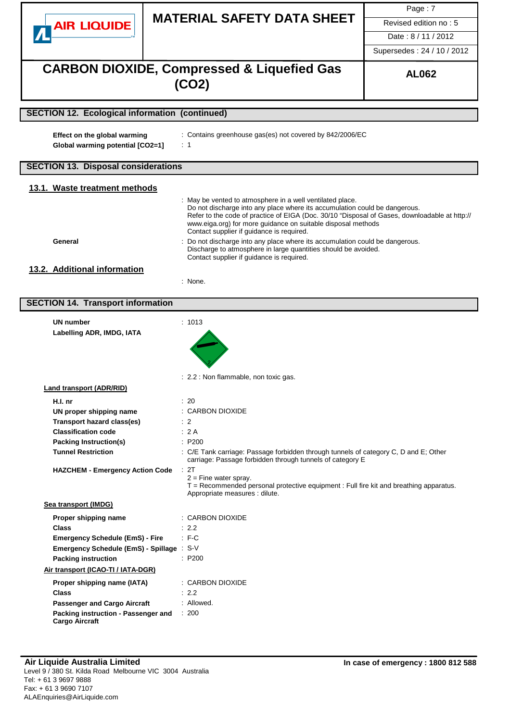|                                                                  |                                                                                                                                                                                                                                                                                                                                                                                                                                                                                                         | Page: 7                    |
|------------------------------------------------------------------|---------------------------------------------------------------------------------------------------------------------------------------------------------------------------------------------------------------------------------------------------------------------------------------------------------------------------------------------------------------------------------------------------------------------------------------------------------------------------------------------------------|----------------------------|
|                                                                  | <b>MATERIAL SAFETY DATA SHEET</b>                                                                                                                                                                                                                                                                                                                                                                                                                                                                       | Revised edition no: 5      |
| <b>AIR LIQUIDE</b>                                               |                                                                                                                                                                                                                                                                                                                                                                                                                                                                                                         | Date: 8/11/2012            |
|                                                                  |                                                                                                                                                                                                                                                                                                                                                                                                                                                                                                         |                            |
|                                                                  |                                                                                                                                                                                                                                                                                                                                                                                                                                                                                                         | Supersedes: 24 / 10 / 2012 |
|                                                                  | <b>CARBON DIOXIDE, Compressed &amp; Liquefied Gas</b><br>(CO2)                                                                                                                                                                                                                                                                                                                                                                                                                                          | <b>AL062</b>               |
| <b>SECTION 12. Ecological information (continued)</b>            |                                                                                                                                                                                                                                                                                                                                                                                                                                                                                                         |                            |
| Effect on the global warming<br>Global warming potential [CO2=1] | : Contains greenhouse gas(es) not covered by 842/2006/EC<br>$\therefore$ 1                                                                                                                                                                                                                                                                                                                                                                                                                              |                            |
| <b>SECTION 13. Disposal considerations</b>                       |                                                                                                                                                                                                                                                                                                                                                                                                                                                                                                         |                            |
| 13.1. Waste treatment methods                                    |                                                                                                                                                                                                                                                                                                                                                                                                                                                                                                         |                            |
| General                                                          | : May be vented to atmosphere in a well ventilated place.<br>Do not discharge into any place where its accumulation could be dangerous.<br>Refer to the code of practice of EIGA (Doc. 30/10 "Disposal of Gases, downloadable at http://<br>www.eiga.org) for more guidance on suitable disposal methods<br>Contact supplier if guidance is required.<br>: Do not discharge into any place where its accumulation could be dangerous.<br>Discharge to atmosphere in large quantities should be avoided. |                            |
|                                                                  | Contact supplier if guidance is required.                                                                                                                                                                                                                                                                                                                                                                                                                                                               |                            |
| 13.2. Additional information                                     | : None.                                                                                                                                                                                                                                                                                                                                                                                                                                                                                                 |                            |
|                                                                  |                                                                                                                                                                                                                                                                                                                                                                                                                                                                                                         |                            |
| <b>SECTION 14. Transport information</b>                         |                                                                                                                                                                                                                                                                                                                                                                                                                                                                                                         |                            |
| <b>UN number</b><br>Labelling ADR, IMDG, IATA                    | : 1013                                                                                                                                                                                                                                                                                                                                                                                                                                                                                                  |                            |
|                                                                  | 2.2 : Non flammable, non toxic gas.                                                                                                                                                                                                                                                                                                                                                                                                                                                                     |                            |
| <b>Land transport (ADR/RID)</b>                                  |                                                                                                                                                                                                                                                                                                                                                                                                                                                                                                         |                            |
| H.I. nr                                                          | $\therefore$ 20                                                                                                                                                                                                                                                                                                                                                                                                                                                                                         |                            |
| UN proper shipping name<br><b>Transport hazard class(es)</b>     | : CARBON DIOXIDE<br>$\therefore$ 2                                                                                                                                                                                                                                                                                                                                                                                                                                                                      |                            |
| <b>Classification code</b>                                       | : 2A                                                                                                                                                                                                                                                                                                                                                                                                                                                                                                    |                            |
| <b>Packing Instruction(s)</b>                                    | : P200                                                                                                                                                                                                                                                                                                                                                                                                                                                                                                  |                            |
| <b>Tunnel Restriction</b>                                        | : C/E Tank carriage: Passage forbidden through tunnels of category C, D and E; Other<br>carriage: Passage forbidden through tunnels of category E                                                                                                                                                                                                                                                                                                                                                       |                            |
| <b>HAZCHEM - Emergency Action Code</b>                           | : 2T<br>$2 =$ Fine water spray.<br>T = Recommended personal protective equipment : Full fire kit and breathing apparatus.<br>Appropriate measures : dilute.                                                                                                                                                                                                                                                                                                                                             |                            |
| Sea transport (IMDG)                                             |                                                                                                                                                                                                                                                                                                                                                                                                                                                                                                         |                            |
| Proper shipping name                                             | : CARBON DIOXIDE                                                                                                                                                                                                                                                                                                                                                                                                                                                                                        |                            |
| <b>Class</b>                                                     | $\therefore$ 2.2                                                                                                                                                                                                                                                                                                                                                                                                                                                                                        |                            |
| <b>Emergency Schedule (EmS) - Fire</b>                           | : F C                                                                                                                                                                                                                                                                                                                                                                                                                                                                                                   |                            |
| Emergency Schedule (EmS) - Spillage : S-V                        |                                                                                                                                                                                                                                                                                                                                                                                                                                                                                                         |                            |
| <b>Packing instruction</b>                                       | : P200                                                                                                                                                                                                                                                                                                                                                                                                                                                                                                  |                            |
| Air transport (ICAO-TI / IATA-DGR)                               |                                                                                                                                                                                                                                                                                                                                                                                                                                                                                                         |                            |
| Proper shipping name (IATA)                                      | : CARBON DIOXIDE                                                                                                                                                                                                                                                                                                                                                                                                                                                                                        |                            |
| <b>Class</b>                                                     | : 2.2                                                                                                                                                                                                                                                                                                                                                                                                                                                                                                   |                            |
| <b>Passenger and Cargo Aircraft</b>                              | : Allowed.                                                                                                                                                                                                                                                                                                                                                                                                                                                                                              |                            |
| Packing instruction - Passenger and<br><b>Cargo Aircraft</b>     | : 200                                                                                                                                                                                                                                                                                                                                                                                                                                                                                                   |                            |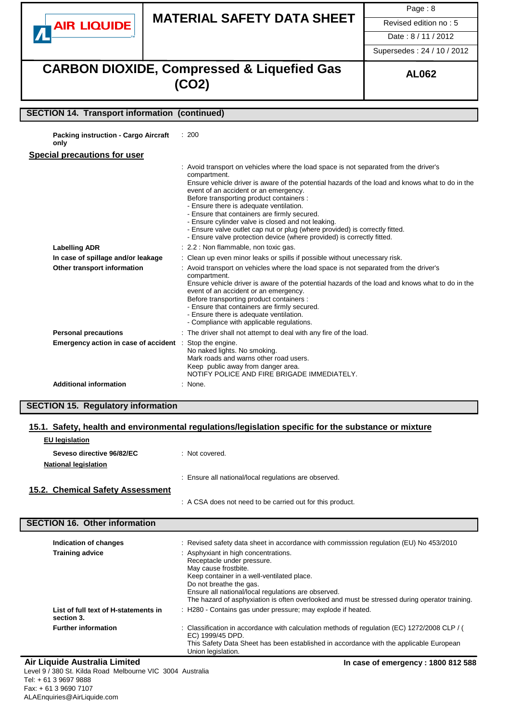

# **MATERIAL SAFETY DATA SHEET** Revised edition no: 5

Page : 8

Date : 8 / 11 / 2012

Supersedes : 24 / 10 / 2012

# **CARBON DIOXIDE, Compressed & Liquefied Gas (CO2)**

## **SECTION 14. Transport information (continued)**

**Packing instruction - Cargo Aircraft** : 200

**only**

### **Special precautions for user**

|                                        | : Avoid transport on vehicles where the load space is not separated from the driver's<br>compartment.<br>Ensure vehicle driver is aware of the potential hazards of the load and knows what to do in the<br>event of an accident or an emergency.<br>Before transporting product containers :<br>- Ensure there is adequate ventilation.<br>- Ensure that containers are firmly secured.<br>- Ensure cylinder valve is closed and not leaking.<br>- Ensure valve outlet cap nut or plug (where provided) is correctly fitted.<br>- Ensure valve protection device (where provided) is correctly fitted. |
|----------------------------------------|---------------------------------------------------------------------------------------------------------------------------------------------------------------------------------------------------------------------------------------------------------------------------------------------------------------------------------------------------------------------------------------------------------------------------------------------------------------------------------------------------------------------------------------------------------------------------------------------------------|
| <b>Labelling ADR</b>                   | : 2.2 : Non flammable, non toxic gas.                                                                                                                                                                                                                                                                                                                                                                                                                                                                                                                                                                   |
| In case of spillage and/or leakage     | : Clean up even minor leaks or spills if possible without unecessary risk.                                                                                                                                                                                                                                                                                                                                                                                                                                                                                                                              |
| Other transport information            | : Avoid transport on vehicles where the load space is not separated from the driver's<br>compartment.<br>Ensure vehicle driver is aware of the potential hazards of the load and knows what to do in the<br>event of an accident or an emergency.<br>Before transporting product containers :<br>- Ensure that containers are firmly secured.<br>- Ensure there is adequate ventilation.<br>- Compliance with applicable regulations.                                                                                                                                                                   |
| <b>Personal precautions</b>            | : The driver shall not attempt to deal with any fire of the load.                                                                                                                                                                                                                                                                                                                                                                                                                                                                                                                                       |
| Emergency action in case of accident : | Stop the engine.<br>No naked lights. No smoking.<br>Mark roads and warns other road users.<br>Keep public away from danger area.<br>NOTIFY POLICE AND FIRE BRIGADE IMMEDIATELY.                                                                                                                                                                                                                                                                                                                                                                                                                         |
| <b>Additional information</b>          | : None.                                                                                                                                                                                                                                                                                                                                                                                                                                                                                                                                                                                                 |

### **SECTION 15. Regulatory information**

### **15.1. Safety, health and environmental regulations/legislation specific for the substance or mixture**

| <b>EU</b> legislation            |                                                         |
|----------------------------------|---------------------------------------------------------|
| Seveso directive 96/82/EC        | : Not covered.                                          |
| <b>National legislation</b>      |                                                         |
|                                  | : Ensure all national/local regulations are observed.   |
| 15.2. Chemical Safety Assessment |                                                         |
|                                  | A CSA does not need to be carried out for this product. |

## **SECTION 16. Other information**

| Indication of changes                              | : Revised safety data sheet in accordance with commisssion regulation (EU) No 453/2010                                                                                                                                                                                                                                      |
|----------------------------------------------------|-----------------------------------------------------------------------------------------------------------------------------------------------------------------------------------------------------------------------------------------------------------------------------------------------------------------------------|
| <b>Training advice</b>                             | : Asphyxiant in high concentrations.<br>Receptacle under pressure.<br>May cause frostbite.<br>Keep container in a well-ventilated place.<br>Do not breathe the gas.<br>Ensure all national/local regulations are observed.<br>The hazard of asphyxiation is often overlooked and must be stressed during operator training. |
| List of full text of H-statements in<br>section 3. | : H280 - Contains gas under pressure; may explode if heated.                                                                                                                                                                                                                                                                |
| <b>Further information</b>                         | : Classification in accordance with calculation methods of regulation (EC) 1272/2008 CLP / (<br>EC) 1999/45 DPD.<br>This Safety Data Sheet has been established in accordance with the applicable European<br>Union legislation.                                                                                            |

#### **Air Liquide Australia Limited In case of emergency : 1800 812 588** Level 9 / 380 St. Kilda Road Melbourne VIC 3004 Australia Tel: + 61 3 9697 9888 Fax: + 61 3 9690 7107 ALAEnquiries@AirLiquide.com